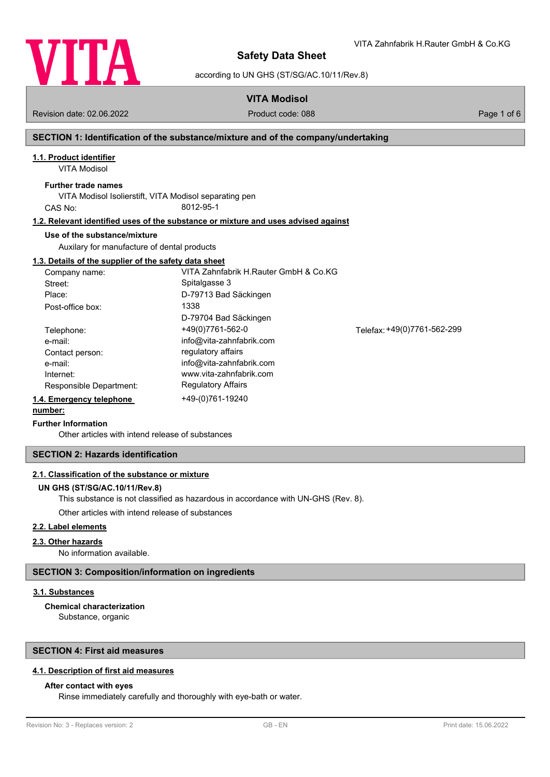

VITA Zahnfabrik H.Rauter GmbH & Co.KG

according to UN GHS (ST/SG/AC.10/11/Rev.8)

**VITA Modisol**

Revision date: 02.06.2022 Product code: 088 Page 1 of 6

### **SECTION 1: Identification of the substance/mixture and of the company/undertaking**

# **1.1. Product identifier**

VITA Modisol

### **Further trade names**

VITA Modisol Isolierstift, VITA Modisol separating pen CAS No: 8012-95-1

#### **1.2. Relevant identified uses of the substance or mixture and uses advised against**

#### **Use of the substance/mixture**

Auxilary for manufacture of dental products

#### **1.3. Details of the supplier of the safety data sheet**

| Company name:            | VITA Zahnfabrik H.Rauter GmbH & Co.KG |                             |
|--------------------------|---------------------------------------|-----------------------------|
| Street:                  | Spitalgasse 3                         |                             |
| Place:                   | D-79713 Bad Säckingen                 |                             |
| Post-office box:         | 1338                                  |                             |
|                          | D-79704 Bad Säckingen                 |                             |
| Telephone:               | +49(0)7761-562-0                      | Telefax: +49(0)7761-562-299 |
| e-mail:                  | info@vita-zahnfabrik.com              |                             |
| Contact person:          | regulatory affairs                    |                             |
| e-mail:                  | info@vita-zahnfabrik.com              |                             |
| Internet:                | www.vita-zahnfabrik.com               |                             |
| Responsible Department:  | <b>Regulatory Affairs</b>             |                             |
| 1.4. Emergency telephone | +49-(0)761-19240                      |                             |

## **number:**

#### **Further Information**

Other articles with intend release of substances

#### **SECTION 2: Hazards identification**

#### **2.1. Classification of the substance or mixture**

## **UN GHS (ST/SG/AC.10/11/Rev.8)**

This substance is not classified as hazardous in accordance with UN-GHS (Rev. 8).

Other articles with intend release of substances

#### **2.2. Label elements**

#### **2.3. Other hazards**

No information available.

#### **SECTION 3: Composition/information on ingredients**

#### **3.1. Substances**

Substance, organic **Chemical characterization**

#### **SECTION 4: First aid measures**

#### **4.1. Description of first aid measures**

### **After contact with eyes**

Rinse immediately carefully and thoroughly with eye-bath or water.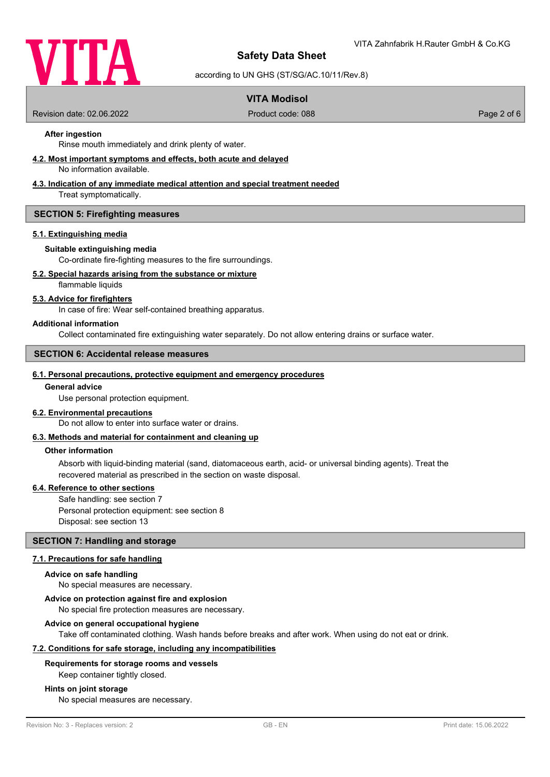

according to UN GHS (ST/SG/AC.10/11/Rev.8)

# **VITA Modisol**

Revision date: 02.06.2022 Product code: 088 Page 2 of 6

## **After ingestion**

Rinse mouth immediately and drink plenty of water.

#### **4.2. Most important symptoms and effects, both acute and delayed**

No information available.

#### **4.3. Indication of any immediate medical attention and special treatment needed**

Treat symptomatically.

#### **SECTION 5: Firefighting measures**

#### **5.1. Extinguishing media**

#### **Suitable extinguishing media**

Co-ordinate fire-fighting measures to the fire surroundings.

#### **5.2. Special hazards arising from the substance or mixture**

flammable liquids

#### **5.3. Advice for firefighters**

In case of fire: Wear self-contained breathing apparatus.

#### **Additional information**

Collect contaminated fire extinguishing water separately. Do not allow entering drains or surface water.

## **SECTION 6: Accidental release measures**

#### **6.1. Personal precautions, protective equipment and emergency procedures**

#### **General advice**

Use personal protection equipment.

#### **6.2. Environmental precautions**

Do not allow to enter into surface water or drains.

#### **6.3. Methods and material for containment and cleaning up**

#### **Other information**

Absorb with liquid-binding material (sand, diatomaceous earth, acid- or universal binding agents). Treat the recovered material as prescribed in the section on waste disposal.

### **6.4. Reference to other sections**

Safe handling: see section 7 Personal protection equipment: see section 8 Disposal: see section 13

#### **SECTION 7: Handling and storage**

#### **7.1. Precautions for safe handling**

#### **Advice on safe handling**

No special measures are necessary.

#### **Advice on protection against fire and explosion**

No special fire protection measures are necessary.

#### **Advice on general occupational hygiene**

Take off contaminated clothing. Wash hands before breaks and after work. When using do not eat or drink.

#### **7.2. Conditions for safe storage, including any incompatibilities**

#### **Requirements for storage rooms and vessels**

Keep container tightly closed.

#### **Hints on joint storage**

No special measures are necessary.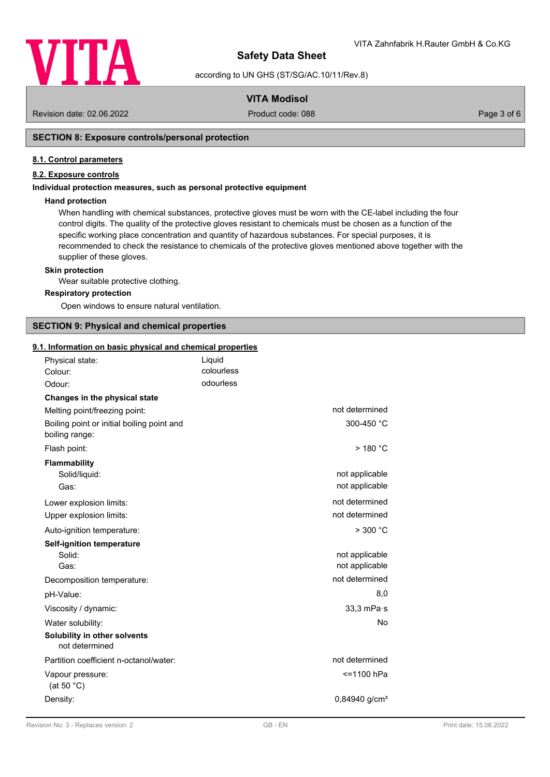

according to UN GHS (ST/SG/AC.10/11/Rev.8)

# **VITA Modisol**

Revision date: 02.06.2022 Product code: 088 Page 3 of 6

## **SECTION 8: Exposure controls/personal protection**

#### **8.1. Control parameters**

## **8.2. Exposure controls**

#### **Individual protection measures, such as personal protective equipment**

#### **Hand protection**

When handling with chemical substances, protective gloves must be worn with the CE-label including the four control digits. The quality of the protective gloves resistant to chemicals must be chosen as a function of the specific working place concentration and quantity of hazardous substances. For special purposes, it is recommended to check the resistance to chemicals of the protective gloves mentioned above together with the supplier of these gloves.

#### **Skin protection**

Wear suitable protective clothing.

#### **Respiratory protection**

Open windows to ensure natural ventilation.

# **SECTION 9: Physical and chemical properties**

#### **9.1. Information on basic physical and chemical properties**

| Physical state:                                              | Liquid<br>colourless |                             |
|--------------------------------------------------------------|----------------------|-----------------------------|
| Colour:<br>Odour:                                            | odourless            |                             |
|                                                              |                      |                             |
| Changes in the physical state                                |                      | not determined              |
| Melting point/freezing point:                                |                      |                             |
| Boiling point or initial boiling point and<br>boiling range: |                      | 300-450 °C                  |
| Flash point:                                                 |                      | $>$ 180 $^{\circ}$ C        |
| <b>Flammability</b>                                          |                      |                             |
| Solid/liquid:                                                |                      | not applicable              |
| Gas:                                                         |                      | not applicable              |
| Lower explosion limits:                                      |                      | not determined              |
| Upper explosion limits:                                      |                      | not determined              |
| Auto-ignition temperature:                                   |                      | $>$ 300 $^{\circ}$ C        |
| <b>Self-ignition temperature</b>                             |                      |                             |
| Solid:                                                       |                      | not applicable              |
| Gas:                                                         |                      | not applicable              |
| Decomposition temperature:                                   |                      | not determined              |
| pH-Value:                                                    |                      | 8,0                         |
| Viscosity / dynamic:                                         |                      | $33,3$ mPa $\cdot$ s        |
| Water solubility:                                            |                      | No.                         |
| Solubility in other solvents<br>not determined               |                      |                             |
| Partition coefficient n-octanol/water:                       |                      | not determined              |
| Vapour pressure:<br>(at 50 $°C$ )                            |                      | <=1100 hPa                  |
| Density:                                                     |                      | $0,84940$ g/cm <sup>3</sup> |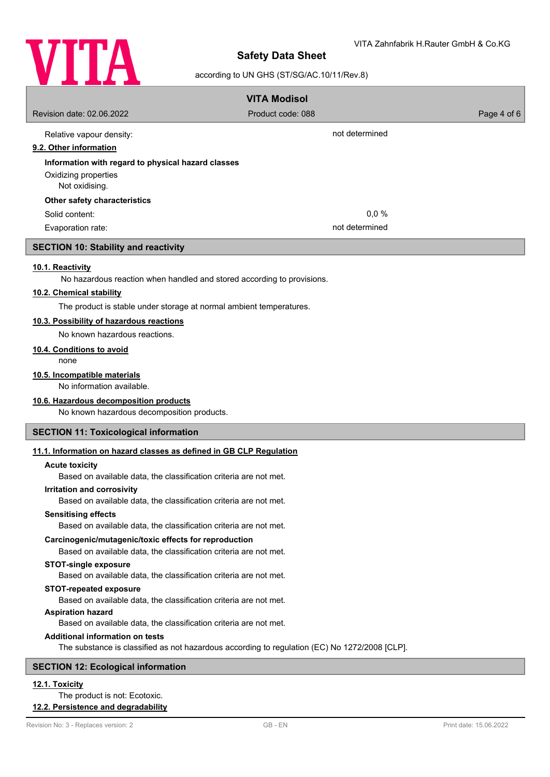

# according to UN GHS (ST/SG/AC.10/11/Rev.8)

|                                                                                                        | <b>VITA Modisol</b>                                                                           |                        |
|--------------------------------------------------------------------------------------------------------|-----------------------------------------------------------------------------------------------|------------------------|
| Revision date: 02.06.2022                                                                              | Product code: 088                                                                             | Page 4 of 6            |
| Relative vapour density:                                                                               | not determined                                                                                |                        |
| 9.2. Other information                                                                                 |                                                                                               |                        |
| Information with regard to physical hazard classes                                                     |                                                                                               |                        |
| Oxidizing properties<br>Not oxidising.                                                                 |                                                                                               |                        |
| Other safety characteristics                                                                           |                                                                                               |                        |
| Solid content:                                                                                         | 0,0%                                                                                          |                        |
| Evaporation rate:                                                                                      | not determined                                                                                |                        |
| <b>SECTION 10: Stability and reactivity</b>                                                            |                                                                                               |                        |
| 10.1. Reactivity<br>No hazardous reaction when handled and stored according to provisions.             |                                                                                               |                        |
| 10.2. Chemical stability                                                                               |                                                                                               |                        |
| The product is stable under storage at normal ambient temperatures.                                    |                                                                                               |                        |
| 10.3. Possibility of hazardous reactions                                                               |                                                                                               |                        |
| No known hazardous reactions.                                                                          |                                                                                               |                        |
| 10.4. Conditions to avoid                                                                              |                                                                                               |                        |
| none                                                                                                   |                                                                                               |                        |
| 10.5. Incompatible materials<br>No information available.                                              |                                                                                               |                        |
| 10.6. Hazardous decomposition products                                                                 |                                                                                               |                        |
| No known hazardous decomposition products.                                                             |                                                                                               |                        |
| <b>SECTION 11: Toxicological information</b>                                                           |                                                                                               |                        |
| 11.1. Information on hazard classes as defined in GB CLP Regulation                                    |                                                                                               |                        |
| <b>Acute toxicity</b>                                                                                  |                                                                                               |                        |
| Based on available data, the classification criteria are not met.<br><b>Irritation and corrosivity</b> |                                                                                               |                        |
| Based on available data, the classification criteria are not met.                                      |                                                                                               |                        |
| <b>Sensitising effects</b>                                                                             |                                                                                               |                        |
| Based on available data, the classification criteria are not met.                                      |                                                                                               |                        |
| Carcinogenic/mutagenic/toxic effects for reproduction                                                  |                                                                                               |                        |
| Based on available data, the classification criteria are not met.                                      |                                                                                               |                        |
| <b>STOT-single exposure</b><br>Based on available data, the classification criteria are not met.       |                                                                                               |                        |
| <b>STOT-repeated exposure</b>                                                                          |                                                                                               |                        |
| Based on available data, the classification criteria are not met.                                      |                                                                                               |                        |
| <b>Aspiration hazard</b>                                                                               |                                                                                               |                        |
| Based on available data, the classification criteria are not met.                                      |                                                                                               |                        |
| <b>Additional information on tests</b>                                                                 | The substance is classified as not hazardous according to regulation (EC) No 1272/2008 [CLP]. |                        |
| <b>SECTION 12: Ecological information</b>                                                              |                                                                                               |                        |
| 12.1. Toxicity                                                                                         |                                                                                               |                        |
| The product is not: Ecotoxic.                                                                          |                                                                                               |                        |
| 12.2. Persistence and degradability                                                                    |                                                                                               |                        |
| Revision No: 3 - Replaces version: 2                                                                   | GB - EN                                                                                       | Print date: 15.06.2022 |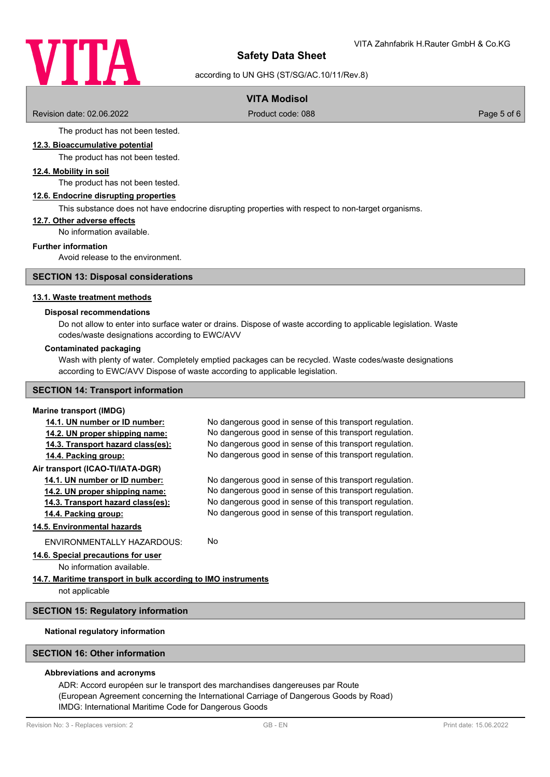

according to UN GHS (ST/SG/AC.10/11/Rev.8)

# **VITA Modisol**

Revision date: 02.06.2022 Product code: 088 Page 5 of 6

The product has not been tested.

### **12.3. Bioaccumulative potential**

The product has not been tested.

# **12.4. Mobility in soil**

The product has not been tested.

#### **12.6. Endocrine disrupting properties**

This substance does not have endocrine disrupting properties with respect to non-target organisms.

#### **12.7. Other adverse effects**

No information available.

#### **Further information**

Avoid release to the environment.

#### **SECTION 13: Disposal considerations**

#### **13.1. Waste treatment methods**

#### **Disposal recommendations**

Do not allow to enter into surface water or drains. Dispose of waste according to applicable legislation. Waste codes/waste designations according to EWC/AVV

#### **Contaminated packaging**

Wash with plenty of water. Completely emptied packages can be recycled. Waste codes/waste designations according to EWC/AVV Dispose of waste according to applicable legislation.

# **SECTION 14: Transport information**

# **Marine transport (IMDG)**

| No dangerous good in sense of this transport regulation.      |  |  |  |
|---------------------------------------------------------------|--|--|--|
| No dangerous good in sense of this transport regulation.      |  |  |  |
| No dangerous good in sense of this transport regulation.      |  |  |  |
| No dangerous good in sense of this transport regulation.      |  |  |  |
|                                                               |  |  |  |
| No dangerous good in sense of this transport regulation.      |  |  |  |
| No dangerous good in sense of this transport regulation.      |  |  |  |
| No dangerous good in sense of this transport regulation.      |  |  |  |
| No dangerous good in sense of this transport regulation.      |  |  |  |
|                                                               |  |  |  |
| No.                                                           |  |  |  |
|                                                               |  |  |  |
|                                                               |  |  |  |
| 14.7. Maritime transport in bulk according to IMO instruments |  |  |  |
|                                                               |  |  |  |
|                                                               |  |  |  |

#### **SECTION 15: Regulatory information**

#### **National regulatory information**

# **SECTION 16: Other information**

#### **Abbreviations and acronyms**

ADR: Accord européen sur le transport des marchandises dangereuses par Route (European Agreement concerning the International Carriage of Dangerous Goods by Road) IMDG: International Maritime Code for Dangerous Goods